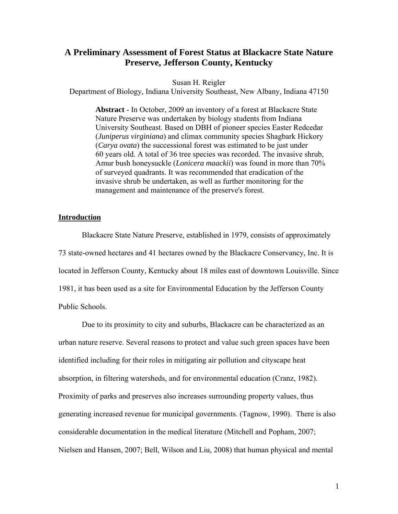# **A Preliminary Assessment of Forest Status at Blackacre State Nature Preserve, Jefferson County, Kentucky**

Susan H. Reigler

Department of Biology, Indiana University Southeast, New Albany, Indiana 47150

 **Abstract** - In October, 2009 an inventory of a forest at Blackacre State Nature Preserve was undertaken by biology students from Indiana University Southeast. Based on DBH of pioneer species Easter Redcedar (*Juniperus virginiana*) and climax community species Shagbark Hickory (*Carya ovata*) the successional forest was estimated to be just under 60 years old. A total of 36 tree species was recorded. The invasive shrub, Amur bush honeysuckle (*Lonicera maackii*) was found in more than 70% of surveyed quadrants. It was recommended that eradication of the invasive shrub be undertaken, as well as further monitoring for the management and maintenance of the preserve's forest.

### **Introduction**

 Blackacre State Nature Preserve, established in 1979, consists of approximately 73 state-owned hectares and 41 hectares owned by the Blackacre Conservancy, Inc. It is located in Jefferson County, Kentucky about 18 miles east of downtown Louisville. Since 1981, it has been used as a site for Environmental Education by the Jefferson County Public Schools.

 Due to its proximity to city and suburbs, Blackacre can be characterized as an urban nature reserve. Several reasons to protect and value such green spaces have been identified including for their roles in mitigating air pollution and cityscape heat absorption, in filtering watersheds, and for environmental education (Cranz, 1982). Proximity of parks and preserves also increases surrounding property values, thus generating increased revenue for municipal governments. (Tagnow, 1990). There is also considerable documentation in the medical literature (Mitchell and Popham, 2007; Nielsen and Hansen, 2007; Bell, Wilson and Liu, 2008) that human physical and mental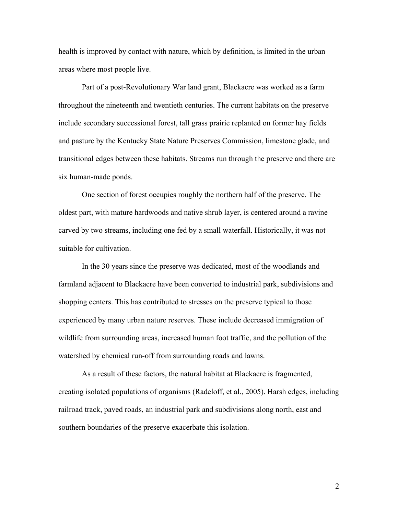health is improved by contact with nature, which by definition, is limited in the urban areas where most people live.

 Part of a post-Revolutionary War land grant, Blackacre was worked as a farm throughout the nineteenth and twentieth centuries. The current habitats on the preserve include secondary successional forest, tall grass prairie replanted on former hay fields and pasture by the Kentucky State Nature Preserves Commission, limestone glade, and transitional edges between these habitats. Streams run through the preserve and there are six human-made ponds.

 One section of forest occupies roughly the northern half of the preserve. The oldest part, with mature hardwoods and native shrub layer, is centered around a ravine carved by two streams, including one fed by a small waterfall. Historically, it was not suitable for cultivation.

 In the 30 years since the preserve was dedicated, most of the woodlands and farmland adjacent to Blackacre have been converted to industrial park, subdivisions and shopping centers. This has contributed to stresses on the preserve typical to those experienced by many urban nature reserves. These include decreased immigration of wildlife from surrounding areas, increased human foot traffic, and the pollution of the watershed by chemical run-off from surrounding roads and lawns.

 As a result of these factors, the natural habitat at Blackacre is fragmented, creating isolated populations of organisms (Radeloff, et al., 2005). Harsh edges, including railroad track, paved roads, an industrial park and subdivisions along north, east and southern boundaries of the preserve exacerbate this isolation.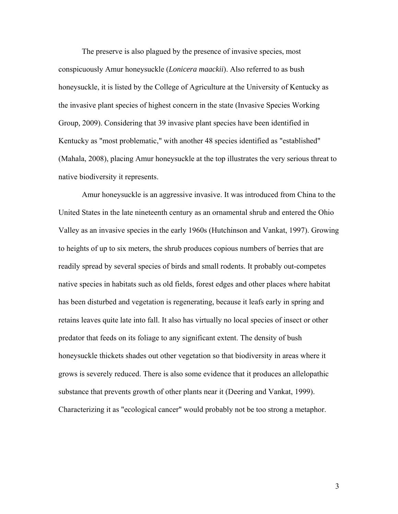The preserve is also plagued by the presence of invasive species, most conspicuously Amur honeysuckle (*Lonicera maackii*). Also referred to as bush honeysuckle, it is listed by the College of Agriculture at the University of Kentucky as the invasive plant species of highest concern in the state (Invasive Species Working Group*,* 2009). Considering that 39 invasive plant species have been identified in Kentucky as "most problematic," with another 48 species identified as "established" (Mahala, 2008), placing Amur honeysuckle at the top illustrates the very serious threat to native biodiversity it represents.

 Amur honeysuckle is an aggressive invasive. It was introduced from China to the United States in the late nineteenth century as an ornamental shrub and entered the Ohio Valley as an invasive species in the early 1960s (Hutchinson and Vankat, 1997). Growing to heights of up to six meters, the shrub produces copious numbers of berries that are readily spread by several species of birds and small rodents. It probably out-competes native species in habitats such as old fields, forest edges and other places where habitat has been disturbed and vegetation is regenerating, because it leafs early in spring and retains leaves quite late into fall. It also has virtually no local species of insect or other predator that feeds on its foliage to any significant extent. The density of bush honeysuckle thickets shades out other vegetation so that biodiversity in areas where it grows is severely reduced. There is also some evidence that it produces an allelopathic substance that prevents growth of other plants near it (Deering and Vankat, 1999). Characterizing it as "ecological cancer" would probably not be too strong a metaphor.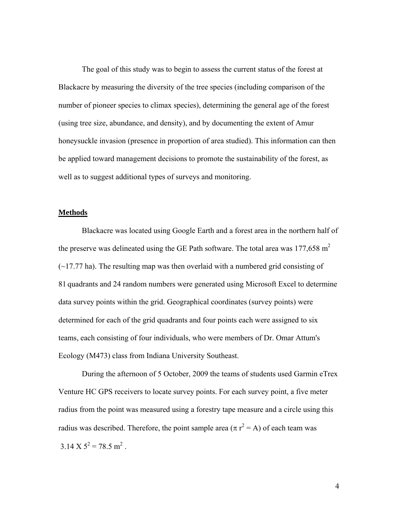The goal of this study was to begin to assess the current status of the forest at Blackacre by measuring the diversity of the tree species (including comparison of the number of pioneer species to climax species), determining the general age of the forest (using tree size, abundance, and density), and by documenting the extent of Amur honeysuckle invasion (presence in proportion of area studied). This information can then be applied toward management decisions to promote the sustainability of the forest, as well as to suggest additional types of surveys and monitoring.

#### **Methods**

Blackacre was located using Google Earth and a forest area in the northern half of the preserve was delineated using the GE Path software. The total area was  $177,658$  m<sup>2</sup>  $(\sim)$  17.77 ha). The resulting map was then overlaid with a numbered grid consisting of 81 quadrants and 24 random numbers were generated using Microsoft Excel to determine data survey points within the grid. Geographical coordinates (survey points) were determined for each of the grid quadrants and four points each were assigned to six teams, each consisting of four individuals, who were members of Dr. Omar Attum's Ecology (M473) class from Indiana University Southeast.

 During the afternoon of 5 October, 2009 the teams of students used Garmin eTrex Venture HC GPS receivers to locate survey points. For each survey point, a five meter radius from the point was measured using a forestry tape measure and a circle using this radius was described. Therefore, the point sample area  $(\pi r^2 = A)$  of each team was  $3.14 \text{ X } 5^2 = 78.5 \text{ m}^2$ .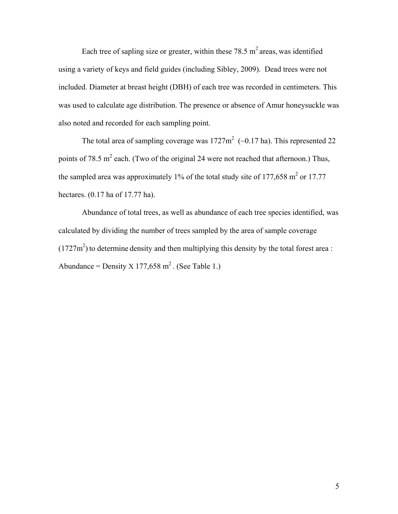Each tree of sapling size or greater, within these 78.5  $m<sup>2</sup>$  areas, was identified using a variety of keys and field guides (including Sibley, 2009). Dead trees were not included. Diameter at breast height (DBH) of each tree was recorded in centimeters. This was used to calculate age distribution. The presence or absence of Amur honeysuckle was also noted and recorded for each sampling point.

The total area of sampling coverage was  $1727 \text{m}^2$  ( $\sim 0.17$  ha). This represented 22 points of 78.5 m<sup>2</sup> each. (Two of the original 24 were not reached that afternoon.) Thus, the sampled area was approximately 1% of the total study site of 177,658 m<sup>2</sup> or 17.77 hectares. (0.17 ha of 17.77 ha).

 Abundance of total trees, as well as abundance of each tree species identified, was calculated by dividing the number of trees sampled by the area of sample coverage  $(1727m<sup>2</sup>)$  to determine density and then multiplying this density by the total forest area : Abundance = Density X 177,658 m<sup>2</sup>. (See Table 1.)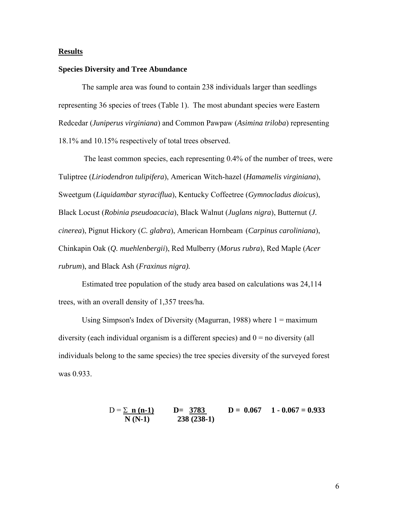### **Results**

### **Species Diversity and Tree Abundance**

The sample area was found to contain 238 individuals larger than seedlings representing 36 species of trees (Table 1). The most abundant species were Eastern Redcedar (*Juniperus virginiana*) and Common Pawpaw (*Asimina triloba*) representing 18.1% and 10.15% respectively of total trees observed.

 The least common species, each representing 0.4% of the number of trees, were Tuliptree (*Liriodendron tulipifera*), American Witch-hazel (*Hamamelis virginiana*), Sweetgum (*Liquidambar styraciflua*), Kentucky Coffeetree (*Gymnocladus dioicus*), Black Locust (*Robinia pseudoacacia*), Black Walnut (*Juglans nigra*), Butternut (*J. cinerea*), Pignut Hickory (*C. glabra*), American Hornbeam (*Carpinus caroliniana*), Chinkapin Oak (*Q. muehlenbergii*), Red Mulberry (*Morus rubra*), Red Maple (*Acer rubrum*), and Black Ash (*Fraxinus nigra).* 

Estimated tree population of the study area based on calculations was 24,114 trees, with an overall density of 1,357 trees/ha.

Using Simpson's Index of Diversity (Magurran, 1988) where  $1 =$  maximum diversity (each individual organism is a different species) and  $0 =$  no diversity (all individuals belong to the same species) the tree species diversity of the surveyed forest was 0.933.

$$
D = \frac{\sum n (n-1)}{N (N-1)} \qquad D = \frac{3783}{238 (238-1)} \qquad D = 0.067 \qquad 1 - 0.067 = 0.933
$$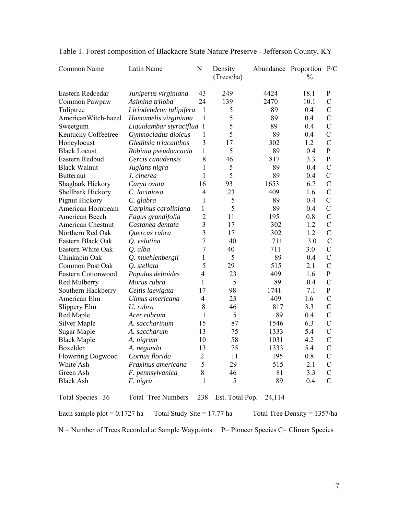| Common Name                                                     | Latin Name              | N                        | Density<br>(Trees/ha) |        | Abundance Proportion P/C<br>$\%$ |               |  |
|-----------------------------------------------------------------|-------------------------|--------------------------|-----------------------|--------|----------------------------------|---------------|--|
| Eastern Redcedar                                                | Juniperus virginiana    | 43                       | 249                   | 4424   | 18.1                             | $\mathbf{P}$  |  |
| Common Pawpaw                                                   | Asimina triloba         | 24                       | 139                   | 2470   | 10.1                             | $\mathcal{C}$ |  |
| Tuliptree                                                       | Liriodendron tulipifera | 1                        | 5                     | 89     | 0.4                              | $\mathcal{C}$ |  |
| AmericanWitch-hazel                                             | Hamamelis virginiana    | 1                        | 5                     | 89     | 0.4                              | $\mathcal{C}$ |  |
| Sweetgum                                                        | Liquidambar styraciflua | $\mathbf{1}$             | 5                     | 89     | 0.4                              | $\mathcal{C}$ |  |
| Kentucky Coffeetree                                             | Gymnocladus dioicus     | 1                        | 5                     | 89     | 0.4                              | $\mathcal{C}$ |  |
| Honeylocust                                                     | Gleditsia triacanthos   | 3                        | 17                    | 302    | 1.2                              | $\mathcal{C}$ |  |
| <b>Black Locust</b>                                             | Robinia pseudoacacia    | $\mathbf{1}$             | 5                     | 89     | 0.4                              | $\, {\bf P}$  |  |
| Eastern Redbud                                                  | Cercis canadensis       | 8                        | 46                    | 817    | 3.3                              | $\mathbf{P}$  |  |
| <b>Black Walnut</b>                                             | Juglans nigra           | 1                        | 5                     | 89     | 0.4                              | $\mathcal{C}$ |  |
| <b>Butternut</b>                                                | J. cinerea              | 1                        | 5                     | 89     | 0.4                              | $\mathcal{C}$ |  |
| Shagbark Hickory                                                | Carya ovata             | 16                       | 93                    | 1653   | 6.7                              | $\mathcal{C}$ |  |
| Shellbark Hickory                                               | C. laciniosa            | $\overline{4}$           | 23                    | 409    | 1.6                              | $\mathcal{C}$ |  |
| Pignut Hickory                                                  | C. glabra               | 1                        | 5                     | 89     | 0.4                              | $\mathcal{C}$ |  |
| American Hornbeam                                               | Carpinus caroliniana    | $\mathbf{1}$             | 5                     | 89     | 0.4                              | $\mathcal{C}$ |  |
| American Beech                                                  | Fagus grandifolia       | $\overline{2}$           | 11                    | 195    | 0.8                              | $\mathcal{C}$ |  |
| <b>American Chestnut</b>                                        | Castanea dentata        | 3                        | 17                    | 302    | 1.2                              | $\mathcal{C}$ |  |
| Northern Red Oak                                                | Quercus rubra           | 3                        | 17                    | 302    | 1.2                              | $\mathcal{C}$ |  |
| Eastern Black Oak                                               | O. velutina             | 7                        | 40                    | 711    | 3.0                              | $\mathcal{C}$ |  |
| Eastern White Oak                                               | Q. alba                 | 7                        | 40                    | 711    | 3.0                              | $\mathcal{C}$ |  |
| Chinkapin Oak                                                   | Q. muehlenbergii        | 1                        | 5                     | 89     | 0.4                              | $\mathcal{C}$ |  |
| Common Post Oak                                                 | O. stellata             | 5                        | 29                    | 515    | 2.1                              | $\mathcal{C}$ |  |
| Eastern Cottonwood                                              | Populus deltoides       | $\overline{\mathcal{A}}$ | 23                    | 409    | 1.6                              | ${\bf P}$     |  |
| Red Mulberry                                                    | Morus rubra             | 1                        | 5                     | 89     | 0.4                              | $\mathcal{C}$ |  |
| Southern Hackberry                                              | Celtis laevigata        | 17                       | 98                    | 1741   | 7.1                              | $\mathbf{P}$  |  |
| American Elm                                                    | Ulmus americana         | 4                        | 23                    | 409    | 1.6                              | $\mathcal{C}$ |  |
| Slippery Elm                                                    | U. rubra                | 8                        | 46                    | 817    | 3.3                              | $\mathcal{C}$ |  |
| Red Maple                                                       | Acer rubrum             | 1                        | 5                     | 89     | 0.4                              | $\mathcal{C}$ |  |
| Silver Maple                                                    | A. saccharinum          | 15                       | 87                    | 1546   | 6.3                              | $\mathcal{C}$ |  |
| Sugar Maple                                                     | A. saccharum            | 13                       | 75                    | 1333   | 5.4                              | $\mathcal{C}$ |  |
| <b>Black Maple</b>                                              | A. nigrum               | 10                       | 58                    | 1031   | 4.2                              | $\mathcal{C}$ |  |
| Boxelder                                                        | A. negundo              | 13                       | 75                    | 1333   | 5.4                              | $\mathcal{C}$ |  |
| Flowering Dogwood                                               | Cornus florida          | $\sqrt{2}$               | $11$                  | 195    | $0.8\,$                          | $\mathbf C$   |  |
| White Ash                                                       | Fraxinus americana      | 5                        | 29                    | 515    | 2.1                              | $\mathcal{C}$ |  |
| Green Ash                                                       | F. pennsylvanica        | 8                        | 46                    | 81     | 3.3                              | $\mathcal{C}$ |  |
| <b>Black Ash</b>                                                | F. nigra                | 1                        | 5                     | 89     | 0.4                              | $\mathcal{C}$ |  |
| Total Species 36                                                | Total Tree Numbers      | 238                      | Est. Total Pop.       | 24,114 |                                  |               |  |
| Each sample plot = $0.1727$ ha<br>Total Study Site = $17.77$ ha |                         |                          |                       |        | Total Tree Density = $1357/ha$   |               |  |

# Table 1. Forest composition of Blackacre State Nature Preserve - Jefferson County, KY

 $N =$  Number of Trees Recorded at Sample Waypoints  $P =$  Pioneer Species C= Climax Species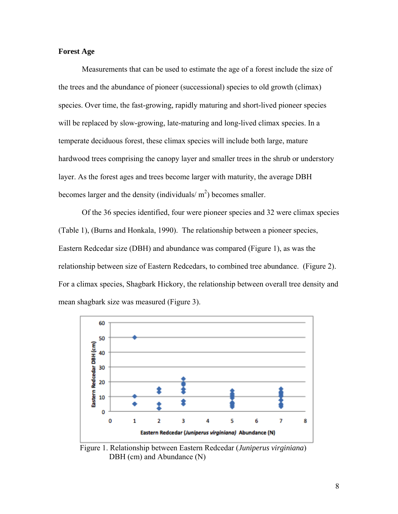### **Forest Age**

Measurements that can be used to estimate the age of a forest include the size of the trees and the abundance of pioneer (successional) species to old growth (climax) species. Over time, the fast-growing, rapidly maturing and short-lived pioneer species will be replaced by slow-growing, late-maturing and long-lived climax species. In a temperate deciduous forest, these climax species will include both large, mature hardwood trees comprising the canopy layer and smaller trees in the shrub or understory layer. As the forest ages and trees become larger with maturity, the average DBH becomes larger and the density (individuals/ $m<sup>2</sup>$ ) becomes smaller.

 Of the 36 species identified, four were pioneer species and 32 were climax species (Table 1), (Burns and Honkala, 1990). The relationship between a pioneer species, Eastern Redcedar size (DBH) and abundance was compared (Figure 1), as was the relationship between size of Eastern Redcedars, to combined tree abundance. (Figure 2). For a climax species, Shagbark Hickory, the relationship between overall tree density and mean shagbark size was measured (Figure 3).



 Figure 1. Relationship between Eastern Redcedar (*Juniperus virginiana*) DBH (cm) and Abundance (N)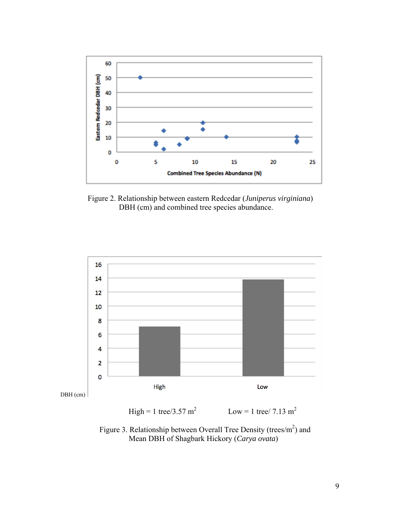

 Figure 2. Relationship between eastern Redcedar (*Juniperus virginiana*) DBH (cm) and combined tree species abundance.



 $High = 1$  tree/3.57 m<sup>2</sup> Low = 1 tree/ 7.13 m<sup>2</sup>

Figure 3. Relationship between Overall Tree Density (trees/ $m<sup>2</sup>$ ) and Mean DBH of Shagbark Hickory (*Carya ovata*)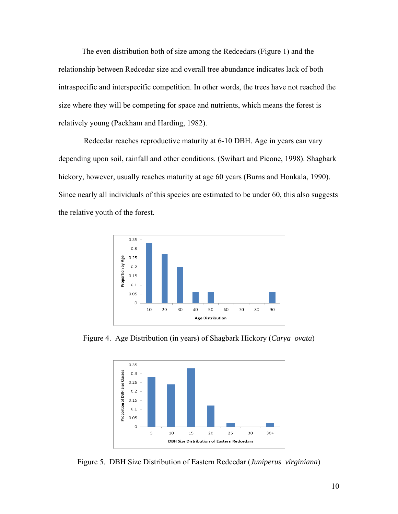The even distribution both of size among the Redcedars (Figure 1) and the relationship between Redcedar size and overall tree abundance indicates lack of both intraspecific and interspecific competition. In other words, the trees have not reached the size where they will be competing for space and nutrients, which means the forest is relatively young (Packham and Harding, 1982).

 Redcedar reaches reproductive maturity at 6-10 DBH. Age in years can vary depending upon soil, rainfall and other conditions. (Swihart and Picone, 1998). Shagbark hickory, however, usually reaches maturity at age 60 years (Burns and Honkala, 1990). Since nearly all individuals of this species are estimated to be under 60, this also suggests the relative youth of the forest.



Figure 4. Age Distribution (in years) of Shagbark Hickory (*Carya ovata*)



Figure 5. DBH Size Distribution of Eastern Redcedar (*Juniperus virginiana*)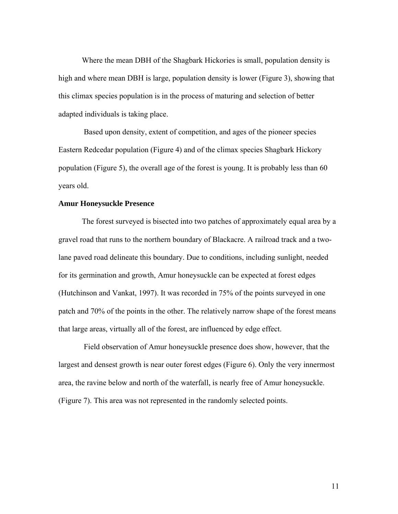Where the mean DBH of the Shagbark Hickories is small, population density is high and where mean DBH is large, population density is lower (Figure 3), showing that this climax species population is in the process of maturing and selection of better adapted individuals is taking place.

 Based upon density, extent of competition, and ages of the pioneer species Eastern Redcedar population (Figure 4) and of the climax species Shagbark Hickory population (Figure 5), the overall age of the forest is young. It is probably less than 60 years old.

### **Amur Honeysuckle Presence**

The forest surveyed is bisected into two patches of approximately equal area by a gravel road that runs to the northern boundary of Blackacre. A railroad track and a twolane paved road delineate this boundary. Due to conditions, including sunlight, needed for its germination and growth, Amur honeysuckle can be expected at forest edges (Hutchinson and Vankat, 1997). It was recorded in 75% of the points surveyed in one patch and 70% of the points in the other. The relatively narrow shape of the forest means that large areas, virtually all of the forest, are influenced by edge effect.

 Field observation of Amur honeysuckle presence does show, however, that the largest and densest growth is near outer forest edges (Figure 6). Only the very innermost area, the ravine below and north of the waterfall, is nearly free of Amur honeysuckle. (Figure 7). This area was not represented in the randomly selected points.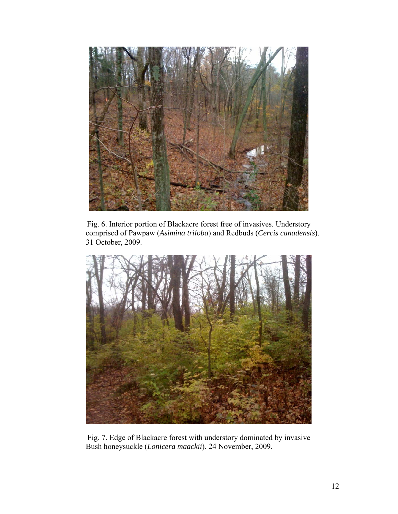

Fig. 6. Interior portion of Blackacre forest free of invasives. Understory comprised of Pawpaw (*Asimina triloba*) and Redbuds (*Cercis canadensis*). 31 October, 2009.



Fig. 7. Edge of Blackacre forest with understory dominated by invasive Bush honeysuckle (*Lonicera maackii*). 24 November, 2009.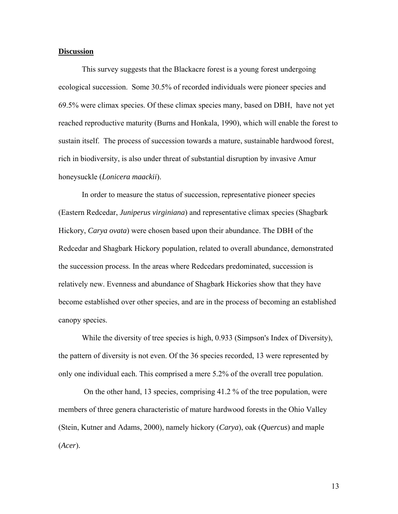### **Discussion**

 This survey suggests that the Blackacre forest is a young forest undergoing ecological succession. Some 30.5% of recorded individuals were pioneer species and 69.5% were climax species. Of these climax species many, based on DBH, have not yet reached reproductive maturity (Burns and Honkala, 1990), which will enable the forest to sustain itself. The process of succession towards a mature, sustainable hardwood forest, rich in biodiversity, is also under threat of substantial disruption by invasive Amur honeysuckle (*Lonicera maackii*).

 In order to measure the status of succession, representative pioneer species (Eastern Redcedar, *Juniperus virginiana*) and representative climax species (Shagbark Hickory, *Carya ovata*) were chosen based upon their abundance. The DBH of the Redcedar and Shagbark Hickory population, related to overall abundance, demonstrated the succession process. In the areas where Redcedars predominated, succession is relatively new. Evenness and abundance of Shagbark Hickories show that they have become established over other species, and are in the process of becoming an established canopy species.

 While the diversity of tree species is high, 0.933 (Simpson's Index of Diversity), the pattern of diversity is not even. Of the 36 species recorded, 13 were represented by only one individual each. This comprised a mere 5.2% of the overall tree population.

 On the other hand, 13 species, comprising 41.2 % of the tree population, were members of three genera characteristic of mature hardwood forests in the Ohio Valley (Stein, Kutner and Adams, 2000), namely hickory (*Carya*), oak (*Quercus*) and maple (*Acer*).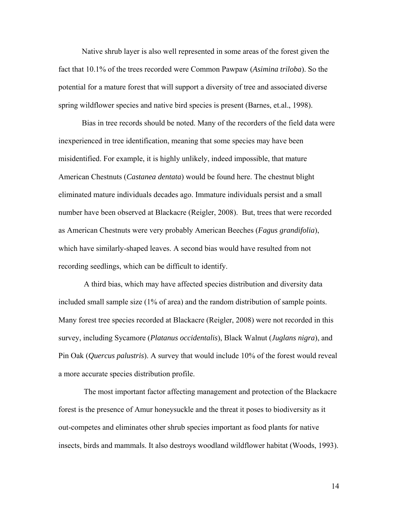Native shrub layer is also well represented in some areas of the forest given the fact that 10.1% of the trees recorded were Common Pawpaw (*Asimina triloba*). So the potential for a mature forest that will support a diversity of tree and associated diverse spring wildflower species and native bird species is present (Barnes, et.al., 1998).

 Bias in tree records should be noted. Many of the recorders of the field data were inexperienced in tree identification, meaning that some species may have been misidentified. For example, it is highly unlikely, indeed impossible, that mature American Chestnuts (*Castanea dentata*) would be found here. The chestnut blight eliminated mature individuals decades ago. Immature individuals persist and a small number have been observed at Blackacre (Reigler, 2008). But, trees that were recorded as American Chestnuts were very probably American Beeches (*Fagus grandifolia*), which have similarly-shaped leaves. A second bias would have resulted from not recording seedlings, which can be difficult to identify.

 A third bias, which may have affected species distribution and diversity data included small sample size (1% of area) and the random distribution of sample points. Many forest tree species recorded at Blackacre (Reigler, 2008) were not recorded in this survey, including Sycamore (*Platanus occidentalis*), Black Walnut (*Juglans nigra*), and Pin Oak (*Quercus palustris*). A survey that would include 10% of the forest would reveal a more accurate species distribution profile.

 The most important factor affecting management and protection of the Blackacre forest is the presence of Amur honeysuckle and the threat it poses to biodiversity as it out-competes and eliminates other shrub species important as food plants for native insects, birds and mammals. It also destroys woodland wildflower habitat (Woods, 1993).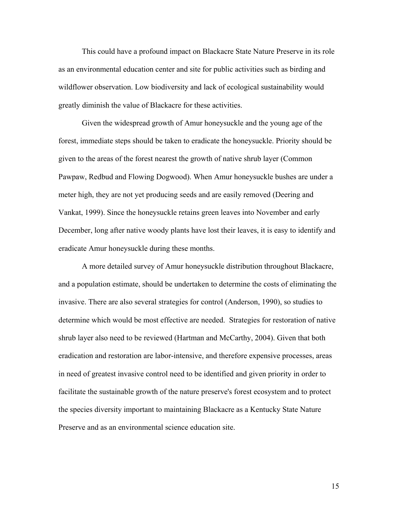This could have a profound impact on Blackacre State Nature Preserve in its role as an environmental education center and site for public activities such as birding and wildflower observation. Low biodiversity and lack of ecological sustainability would greatly diminish the value of Blackacre for these activities.

 Given the widespread growth of Amur honeysuckle and the young age of the forest, immediate steps should be taken to eradicate the honeysuckle. Priority should be given to the areas of the forest nearest the growth of native shrub layer (Common Pawpaw, Redbud and Flowing Dogwood). When Amur honeysuckle bushes are under a meter high, they are not yet producing seeds and are easily removed (Deering and Vankat, 1999). Since the honeysuckle retains green leaves into November and early December, long after native woody plants have lost their leaves, it is easy to identify and eradicate Amur honeysuckle during these months.

 A more detailed survey of Amur honeysuckle distribution throughout Blackacre, and a population estimate, should be undertaken to determine the costs of eliminating the invasive. There are also several strategies for control (Anderson, 1990), so studies to determine which would be most effective are needed. Strategies for restoration of native shrub layer also need to be reviewed (Hartman and McCarthy, 2004). Given that both eradication and restoration are labor-intensive, and therefore expensive processes, areas in need of greatest invasive control need to be identified and given priority in order to facilitate the sustainable growth of the nature preserve's forest ecosystem and to protect the species diversity important to maintaining Blackacre as a Kentucky State Nature Preserve and as an environmental science education site.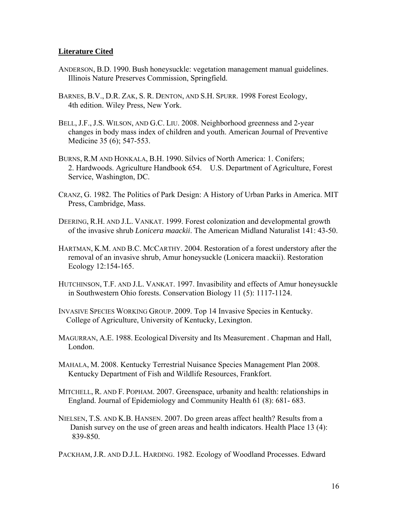## **Literature Cited**

- ANDERSON, B.D. 1990. Bush honeysuckle: vegetation management manual guidelines. Illinois Nature Preserves Commission, Springfield.
- BARNES, B.V., D.R. ZAK, S. R. DENTON, AND S.H. SPURR. 1998 Forest Ecology, 4th edition. Wiley Press, New York.
- BELL, J.F., J.S. WILSON, AND G.C. LIU. 2008. Neighborhood greenness and 2-year changes in body mass index of children and youth. American Journal of Preventive Medicine 35 (6); 547-553.
- BURNS, R.M AND HONKALA, B.H. 1990. Silvics of North America: 1. Conifers; 2. Hardwoods. Agriculture Handbook 654. U.S. Department of Agriculture, Forest Service, Washington, DC.
- CRANZ, G. 1982. The Politics of Park Design: A History of Urban Parks in America. MIT Press, Cambridge, Mass.
- DEERING, R.H. AND J.L. VANKAT. 1999. Forest colonization and developmental growth of the invasive shrub *Lonicera maackii*. The American Midland Naturalist 141: 43-50.
- HARTMAN, K.M. AND B.C. MCCARTHY. 2004. Restoration of a forest understory after the removal of an invasive shrub, Amur honeysuckle (Lonicera maackii). Restoration Ecology 12:154-165.
- HUTCHINSON, T.F. AND J.L. VANKAT. 1997. Invasibility and effects of Amur honeysuckle in Southwestern Ohio forests. Conservation Biology 11 (5): 1117-1124.
- INVASIVE SPECIES WORKING GROUP. 2009. Top 14 Invasive Species in Kentucky. College of Agriculture, University of Kentucky, Lexington.
- MAGURRAN, A.E. 1988. Ecological Diversity and Its Measurement . Chapman and Hall, London.
- MAHALA, M. 2008. Kentucky Terrestrial Nuisance Species Management Plan 2008. Kentucky Department of Fish and Wildlife Resources, Frankfort.
- MITCHELL, R. AND F. POPHAM. 2007. Greenspace, urbanity and health: relationships in England. Journal of Epidemiology and Community Health 61 (8): 681- 683.
- NIELSEN, T.S. AND K.B. HANSEN. 2007. Do green areas affect health? Results from a Danish survey on the use of green areas and health indicators. Health Place 13 (4): 839-850.

PACKHAM, J.R. AND D.J.L. HARDING. 1982. Ecology of Woodland Processes. Edward